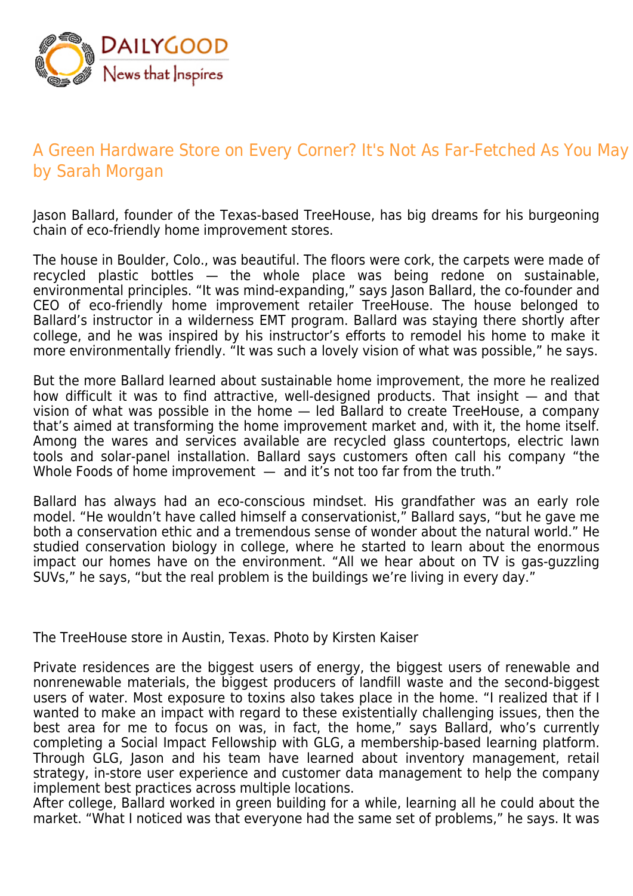

## A Green Hardware Store on Every Corner? It's Not As Far-Fetched As You May by Sarah Morgan

Jason Ballard, founder of the Texas-based TreeHouse, has big dreams for his burgeoning chain of eco-friendly home improvement stores.

The house in Boulder, Colo., was beautiful. The floors were cork, the carpets were made of recycled plastic bottles — the whole place was being redone on sustainable, environmental principles. "It was mind-expanding," says Jason Ballard, the co-founder and CEO of eco-friendly home improvement retailer TreeHouse. The house belonged to Ballard's instructor in a wilderness EMT program. Ballard was staying there shortly after college, and he was inspired by his instructor's efforts to remodel his home to make it more environmentally friendly. "It was such a lovely vision of what was possible," he says.

But the more Ballard learned about sustainable home improvement, the more he realized how difficult it was to find attractive, well-designed products. That insight — and that vision of what was possible in the home — led Ballard to create TreeHouse, a company that's aimed at transforming the home improvement market and, with it, the home itself. Among the wares and services available are recycled glass countertops, electric lawn tools and solar-panel installation. Ballard says customers often call his company "the Whole Foods of home improvement  $-$  and it's not too far from the truth."

Ballard has always had an eco-conscious mindset. His grandfather was an early role model. "He wouldn't have called himself a conservationist," Ballard says, "but he gave me both a conservation ethic and a tremendous sense of wonder about the natural world." He studied conservation biology in college, where he started to learn about the enormous impact our homes have on the environment. "All we hear about on TV is gas-guzzling SUVs," he says, "but the real problem is the buildings we're living in every day."

The TreeHouse store in Austin, Texas. Photo by Kirsten Kaiser

Private residences are the biggest users of energy, the biggest users of renewable and nonrenewable materials, the biggest producers of landfill waste and the second-biggest users of water. Most exposure to toxins also takes place in the home. "I realized that if I wanted to make an impact with regard to these existentially challenging issues, then the best area for me to focus on was, in fact, the home," says Ballard, who's currently completing a Social Impact Fellowship with GLG, a membership-based learning platform. Through GLG, Jason and his team have learned about inventory management, retail strategy, in-store user experience and customer data management to help the company implement best practices across multiple locations.

After college, Ballard worked in green building for a while, learning all he could about the market. "What I noticed was that everyone had the same set of problems," he says. It was